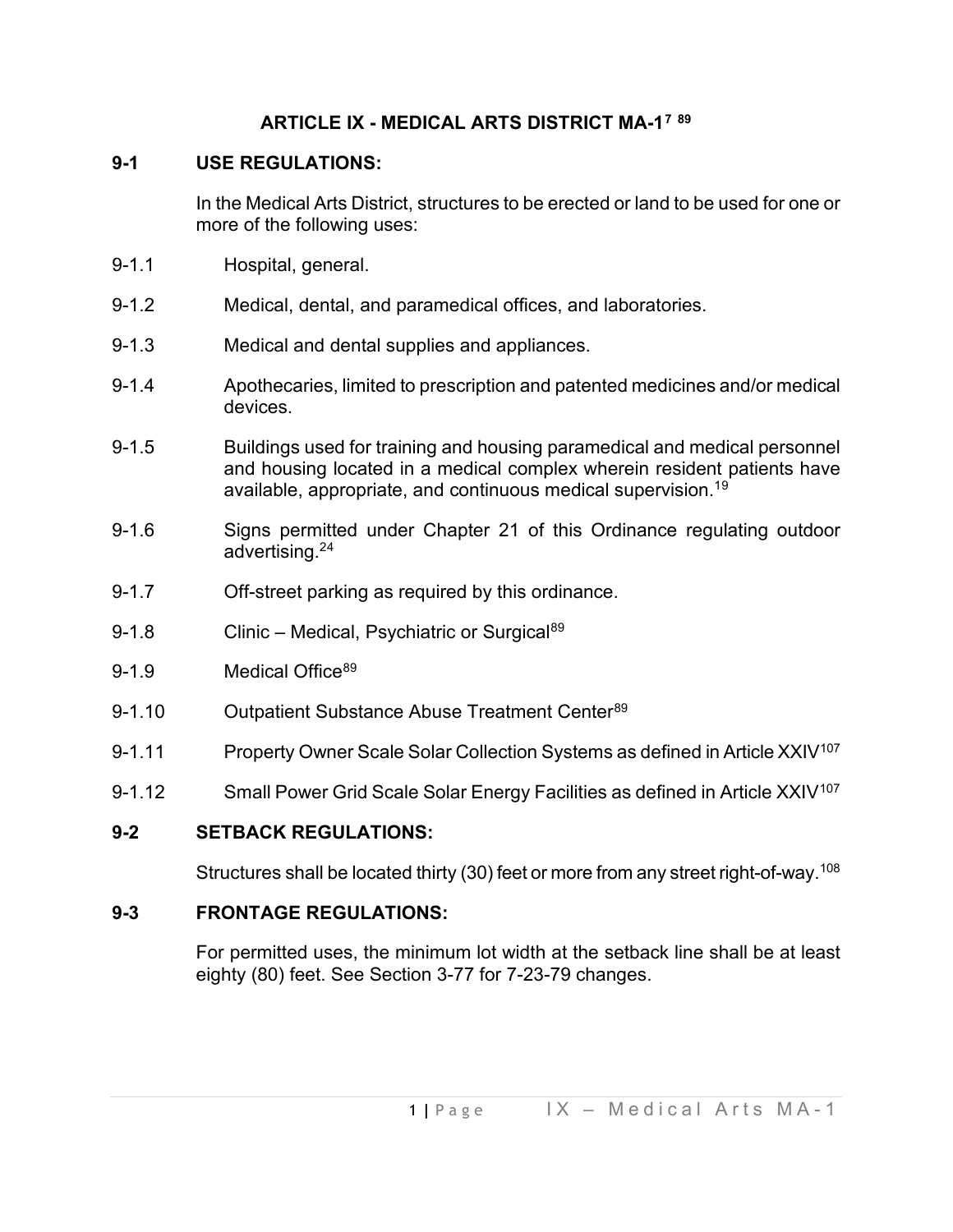## **ARTICLE IX - MEDICAL ARTS DISTRICT MA-1[7](#page-2-0) [89](#page-2-1)**

## **9-1 USE REGULATIONS:**

In the Medical Arts District, structures to be erected or land to be used for one or more of the following uses:

- 9-1.1 Hospital, general.
- 9-1.2 Medical, dental, and paramedical offices, and laboratories.
- 9-1.3 Medical and dental supplies and appliances.
- 9-1.4 Apothecaries, limited to prescription and patented medicines and/or medical devices.
- 9-1.5 Buildings used for training and housing paramedical and medical personnel and housing located in a medical complex wherein resident patients have available, appropriate, and continuous medical supervision.<sup>1[9](#page-2-2)</sup>
- 9-1.6 Signs permitted under Chapter 21 of this Ordinance regulating outdoor advertising.2[4](#page-2-3)
- 9-1.7 Off-street parking as required by this ordinance.
- 9-1.8 Clinic Medical, Psychiatric or Surgical<sup>[89](#page-2-4)</sup>
- 9-1.9 Medical Office<sup>[89](#page-2-5)</sup>
- 9-1.10 Outpatient Substance Abuse Treatment Center<sup>[89](#page-2-6)</sup>
- 9-1.11 Property Owner Scale Solar Collection Systems as defined in Article XXIV<sup>[107](#page-2-7)</sup>
- 9-1.12 Small Power Grid Scale Solar Energy Facilities as defined in Article XXIV<sup>[107](#page-2-8)</sup>

### **9-2 SETBACK REGULATIONS:**

Structures shall be located thirty (30) feet or more from any street right-of-way. [108](#page-2-9)

### **9-3 FRONTAGE REGULATIONS:**

For permitted uses, the minimum lot width at the setback line shall be at least eighty (80) feet. See Section 3-77 for 7-23-79 changes.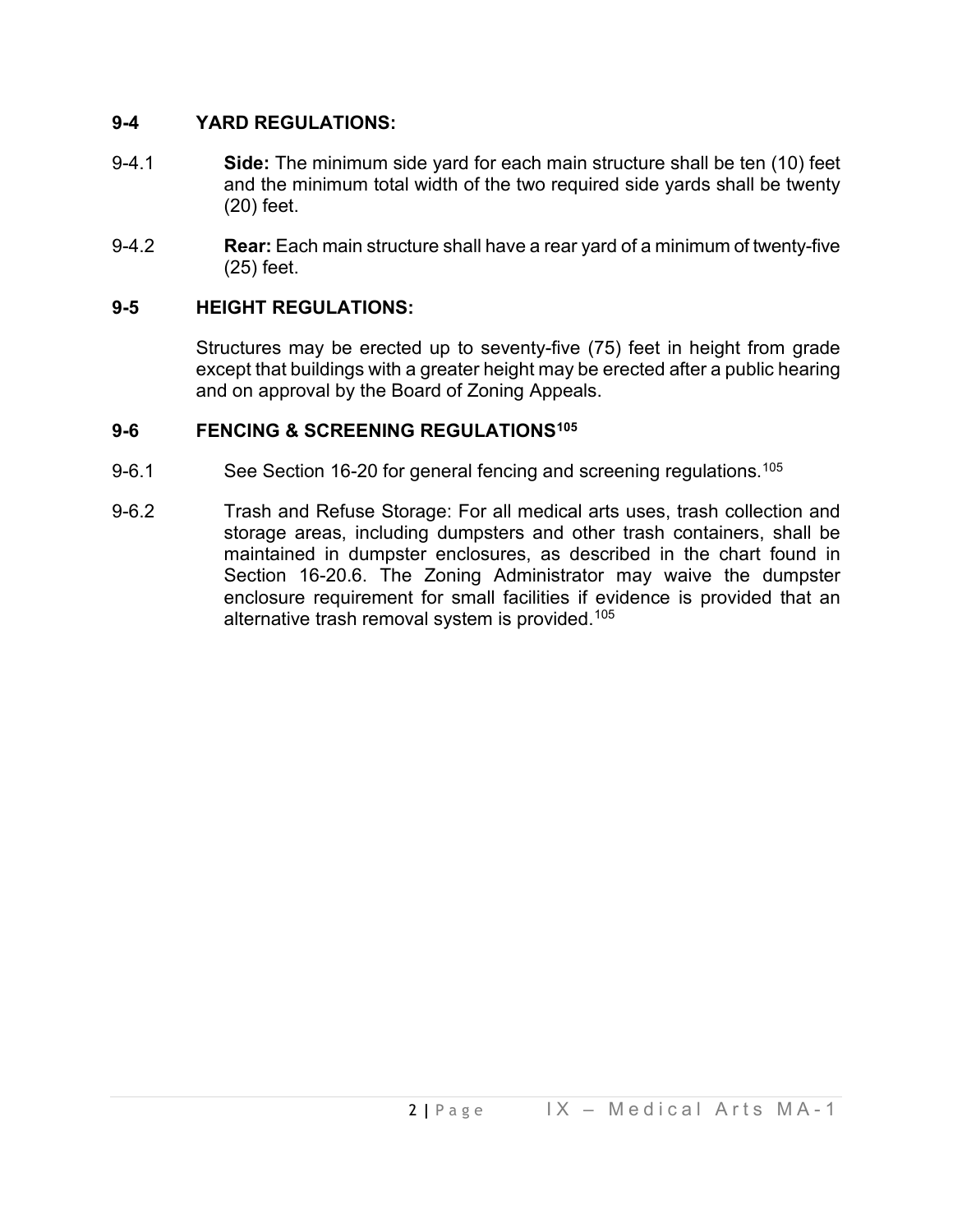### **9-4 YARD REGULATIONS:**

- 9-4.1 **Side:** The minimum side yard for each main structure shall be ten (10) feet and the minimum total width of the two required side yards shall be twenty (20) feet.
- 9-4.2 **Rear:** Each main structure shall have a rear yard of a minimum of twenty-five (25) feet.

# **9-5 HEIGHT REGULATIONS:**

Structures may be erected up to seventy-five (75) feet in height from grade except that buildings with a greater height may be erected after a public hearing and on approval by the Board of Zoning Appeals.

## **9-6 FENCING & SCREENING REGULATIONS[105](#page-2-10)**

- 9-6.1 See Section 16-20 for general fencing and screening regulations.<sup>[105](#page-2-11)</sup>
- 9-6.2 Trash and Refuse Storage: For all medical arts uses, trash collection and storage areas, including dumpsters and other trash containers, shall be maintained in dumpster enclosures, as described in the chart found in Section 16-20.6. The Zoning Administrator may waive the dumpster enclosure requirement for small facilities if evidence is provided that an alternative trash removal system is provided.<sup>[105](#page-2-12)</sup>